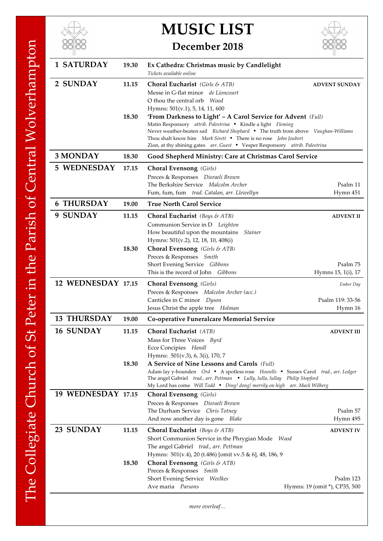

## **MUSIC LIST**



## **December 2018**

| <b>1 SATURDAY</b>  | 19.30          | Ex Cathedra: Christmas music by Candlelight<br>Tickets available online                                                                                                                                                                                                                                                                                                                                                                                                                                         |                                            |
|--------------------|----------------|-----------------------------------------------------------------------------------------------------------------------------------------------------------------------------------------------------------------------------------------------------------------------------------------------------------------------------------------------------------------------------------------------------------------------------------------------------------------------------------------------------------------|--------------------------------------------|
| 2 SUNDAY           | 11.15<br>18.30 | Choral Eucharist (Girls & ATB)<br>Messe in G-flat minor de Lioncourt<br>O thou the central orb Wood<br>Hymns: 501(v.1), 5, 14, 11, 600<br>'From Darkness to Light' – A Carol Service for Advent (Full)<br>Matin Responsory attrib. Palestrina • Kindle a light Fleming<br>Never weather-beaten sail Richard Shephard • The truth from above Vaughan-Williams<br>Thou shalt know him Mark Sirett . There is no rose John Joubert<br>Zion, at thy shining gates arr. Guest . Vesper Responsory attrib. Palestrina | <b>ADVENT SUNDAY</b>                       |
| 3 MONDAY           | 18.30          | Good Shepherd Ministry: Care at Christmas Carol Service                                                                                                                                                                                                                                                                                                                                                                                                                                                         |                                            |
| <b>5 WEDNESDAY</b> | 17.15          | <b>Choral Evensong</b> (Girls)<br>Preces & Responses Disraeli Brown<br>The Berkshire Service Malcolm Archer<br>Fum, fum, fum trad. Catalan, arr. Llewellyn                                                                                                                                                                                                                                                                                                                                                      | Psalm 11<br>Hymn 451                       |
| <b>6 THURSDAY</b>  | 19.00          | <b>True North Carol Service</b>                                                                                                                                                                                                                                                                                                                                                                                                                                                                                 |                                            |
| 9 SUNDAY           | 11.15<br>18.30 | <b>Choral Eucharist</b> (Boys & ATB)<br>Communion Service in D Leighton<br>How beautiful upon the mountains Stainer<br>Hymns: 501(v.2), 12, 18, 10, 408(i)<br><b>Choral Evensong</b> (Girls & ATB)<br>Preces & Responses Smith<br>Short Evening Service Gibbons                                                                                                                                                                                                                                                 | <b>ADVENT II</b><br>Psalm 75               |
|                    |                | This is the record of John Gibbons                                                                                                                                                                                                                                                                                                                                                                                                                                                                              | Hymns 15, 1(i), 17                         |
| 12 WEDNESDAY 17.15 |                | <b>Choral Evensong</b> (Girls)<br>Preces & Responses Malcolm Archer (acc.)<br>Canticles in C minor Dyson<br>Jesus Christ the apple tree Holman                                                                                                                                                                                                                                                                                                                                                                  | Ember Day<br>Psalm 119: 33-56<br>Hymn 16   |
| <b>13 THURSDAY</b> | 19.00          | Co-operative Funeralcare Memorial Service                                                                                                                                                                                                                                                                                                                                                                                                                                                                       |                                            |
| <b>16 SUNDAY</b>   | 11.15<br>18.30 | Choral Eucharist (ATB)<br>Mass for Three Voices Byrd<br>Ecce Concipies Handl<br>Hymns: 501(v.3), 6, 3(i), 170, 7<br>A Service of Nine Lessons and Carols (Full)<br>Adam lay y-bounden Ord • A spotless rose Howells • Sussex Carol trad., arr. Ledger                                                                                                                                                                                                                                                           | <b>ADVENT III</b>                          |
|                    |                | The angel Gabriel trad., arr. Pettman . Lully, lulla, lullay Philip Stopford<br>My Lord has come Will Todd . Ding! dong! merrily on high arr. Mack Wilberg                                                                                                                                                                                                                                                                                                                                                      |                                            |
| 19 WEDNESDAY 17.15 |                | <b>Choral Evensong</b> (Girls)<br>Preces & Responses Disraeli Brown<br>The Durham Service Chris Totney<br>And now another day is gone Blake                                                                                                                                                                                                                                                                                                                                                                     | Psalm 57<br>Hymn 495                       |
| 23 SUNDAY          | 11.15          | <b>Choral Eucharist</b> ( <i>Boys &amp; ATB</i> )<br>Short Communion Service in the Phrygian Mode Wood<br>The angel Gabriel trad., arr. Pettman<br>Hymns: 501(v.4), 20 (t.486) [omit vv.5 & 6], 48, 186, 9                                                                                                                                                                                                                                                                                                      | <b>ADVENT IV</b>                           |
|                    | 18.30          | <b>Choral Evensong</b> (Girls & ATB)<br>Preces & Responses Smith<br>Short Evening Service Weelkes<br>Ave maria Parsons                                                                                                                                                                                                                                                                                                                                                                                          | Psalm 123<br>Hymns: 19 (omit *), CP35, 500 |

*more overleaf…*